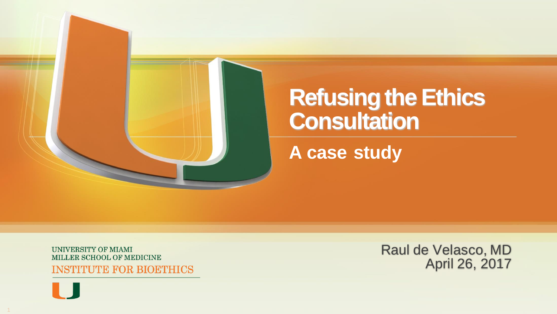

# **Refusing the Ethics Consultation**

**A case study**

UNIVERSITY OF MIAMI MILLER SCHOOL OF MEDICINE **INSTITUTE FOR BIOETHICS**  Raul de Velasco, MD April 26, 2017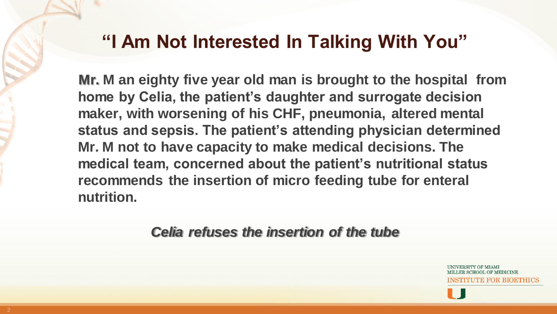### **"I Am Not Interested In Talking With You"**

**Mr. M an eighty five year old man is brought to the hospital from home by Celia, the patient's daughter and surrogate decision maker, with worsening of his CHF, pneumonia, altered mental status and sepsis. The patient's attending physician determined Mr. M not to have capacity to make medical decisions. The medical team, concerned about the patient's nutritional status recommends the insertion of micro feeding tube for enteral nutrition.** 

*Celia refuses the insertion of the tube*

'E FOR BIOETHIC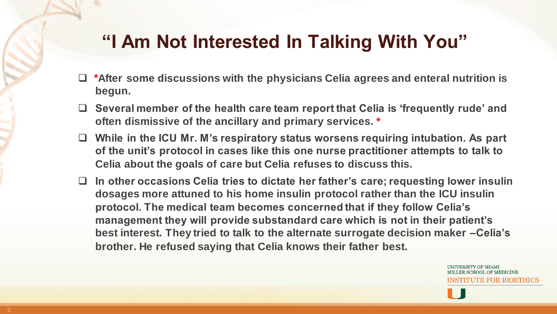### **"I Am Not Interested In Talking With You"**

- **After some discussions with the physicians Celia agrees and enteral nutrition is \*begun.**
- **Several member of the health care team report that Celia is 'frequently rude' and often dismissive of the ancillary and primary services. \***
- **While in the ICU Mr. M's respiratory status worsens requiring intubation. As part of the unit's protocol in cases like this one nurse practitioner attempts to talk to Celia about the goals of care but Celia refuses to discuss this.**
- **In other occasions Celia tries to dictate her father's care; requesting lower insulin dosages more attuned to his home insulin protocol rather than the ICU insulin protocol. The medical team becomes concerned that if they follow Celia's management they will provide substandard care which is not in their patient's best interest. They tried to talk to the alternate surrogate decision maker –Celia's brother. He refused saying that Celia knows their father best.**

INSTITUTE FOR BIOETHICS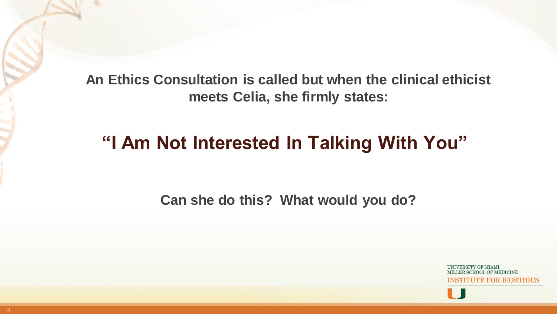**An Ethics Consultation is called but when the clinical ethicist meets Celia, she firmly states:** 

## **"I Am Not Interested In Talking With You"**

**Can she do this? What would you do?**

INSTITUTE FOR BIOETHIC

. .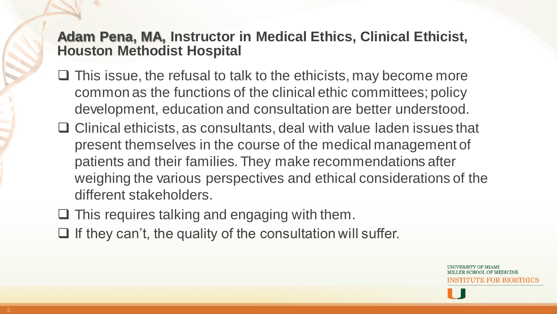#### **Adam Pena, MA, Instructor in Medical Ethics, Clinical Ethicist, Houston Methodist Hospital**

- $\Box$  This issue, the refusal to talk to the ethicists, may become more common as the functions of the clinical ethic committees; policy development, education and consultation are better understood.
- $\Box$  Clinical ethicists, as consultants, deal with value laden issues that present themselves in the course of the medical management of patients and their families. They make recommendations after weighing the various perspectives and ethical considerations of the different stakeholders.
- $\Box$  This requires talking and engaging with them.
- $\Box$  If they can't, the quality of the consultation will suffer.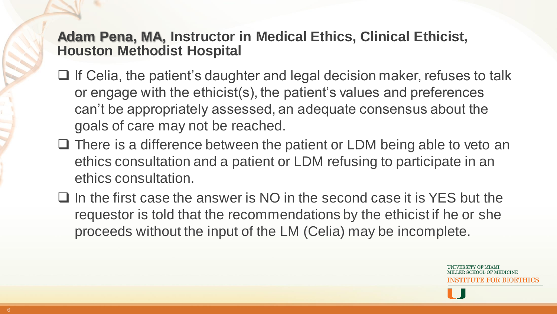#### **Adam Pena, MA, Instructor in Medical Ethics, Clinical Ethicist, Houston Methodist Hospital**

- $\Box$  If Celia, the patient's daughter and legal decision maker, refuses to talk or engage with the ethicist(s), the patient's values and preferences can't be appropriately assessed, an adequate consensus about the goals of care may not be reached.
- $\Box$  There is a difference between the patient or LDM being able to veto an ethics consultation and a patient or LDM refusing to participate in an ethics consultation.
- $\Box$  In the first case the answer is NO in the second case it is YES but the requestor is told that the recommendations by the ethicist if he or she proceeds without the input of the LM (Celia) may be incomplete.

LTE FOR BIOETHICS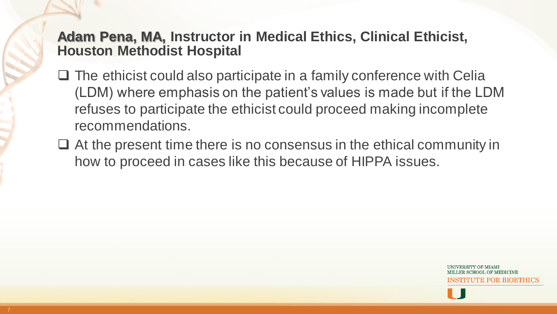#### **Adam Pena, MA, Instructor in Medical Ethics, Clinical Ethicist, Houston Methodist Hospital**

- $\Box$  The ethicist could also participate in a family conference with Celia (LDM) where emphasis on the patient's values is made but if the LDM refuses to participate the ethicist could proceed making incomplete recommendations.
- $\Box$  At the present time there is no consensus in the ethical community in how to proceed in cases like this because of HIPPA issues.

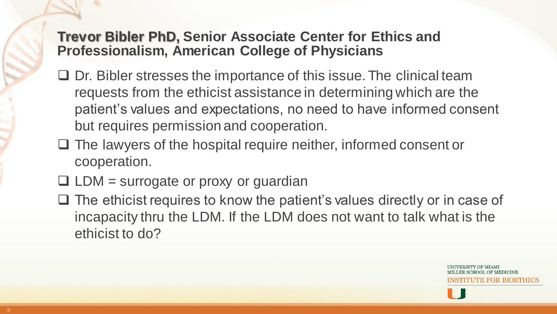#### **Trevor Bibler PhD, Senior Associate Center for Ethics and Professionalism, American College of Physicians**

- $\Box$  Dr. Bibler stresses the importance of this issue. The clinical team requests from the ethicist assistance in determining which are the patient's values and expectations, no need to have informed consent but requires permission and cooperation.
- $\Box$  The lawyers of the hospital require neither, informed consent or cooperation.
- $\Box$  LDM = surrogate or proxy or guardian
- $\Box$  The ethicist requires to know the patient's values directly or in case of incapacity thru the LDM. If the LDM does not want to talk what is the ethicist to do?